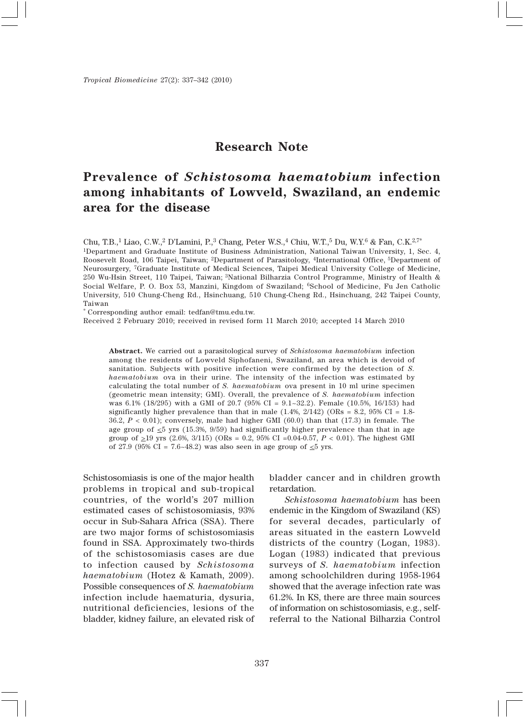## **Research Note**

## **Prevalence of** *Schistosoma haematobium* **infection among inhabitants of Lowveld, Swaziland, an endemic area for the disease**

Chu, T.B.,<sup>1</sup> Liao, C.W.,<sup>2</sup> D'Lamini, P.,<sup>3</sup> Chang, Peter W.S.,<sup>4</sup> Chiu, W.T.,<sup>5</sup> Du, W.Y.<sup>6</sup> & Fan, C.K.<sup>2,7\*</sup> 1Department and Graduate Institute of Business Administration, National Taiwan University, 1, Sec. 4, Roosevelt Road, 106 Taipei, Taiwan; 2Department of Parasitology, 4International Office, 5Department of Neurosurgery, 7Graduate Institute of Medical Sciences, Taipei Medical University College of Medicine, 250 Wu-Hsin Street, 110 Taipei, Taiwan; 3National Bilharzia Control Programme, Ministry of Health & Social Welfare, P. O. Box 53, Manzini, Kingdom of Swaziland; 6School of Medicine, Fu Jen Catholic University, 510 Chung-Cheng Rd., Hsinchuang, 510 Chung-Cheng Rd., Hsinchuang, 242 Taipei County, Taiwan

\* Corresponding author email: tedfan@tmu.edu.tw.

Received 2 February 2010; received in revised form 11 March 2010; accepted 14 March 2010

**Abstract.** We carried out a parasitological survey of *Schistosoma haematobium* infection among the residents of Lowveld Siphofaneni, Swaziland, an area which is devoid of sanitation. Subjects with positive infection were confirmed by the detection of *S. haematobium* ova in their urine. The intensity of the infection was estimated by calculating the total number of *S. haematobium* ova present in 10 ml urine specimen (geometric mean intensity; GMI). Overall, the prevalence of *S. haematobium* infection was 6.1% (18/295) with a GMI of 20.7 (95% CI = 9.1~32.2). Female (10.5%, 16/153) had significantly higher prevalence than that in male  $(1.4\%, 2/142)$  (ORs = 8.2, 95% CI = 1.8-36.2, *P* < 0.01); conversely, male had higher GMI (60.0) than that (17.3) in female. The age group of  $\leq 5$  yrs (15.3%, 9/59) had significantly higher prevalence than that in age group of  $>19$  yrs (2.6%, 3/115) (ORs = 0.2, 95% CI = 0.04-0.57,  $P < 0.01$ ). The highest GMI of 27.9 (95% CI = 7.6~48.2) was also seen in age group of  $\leq$ 5 yrs.

Schistosomiasis is one of the major health problems in tropical and sub-tropical countries, of the world's 207 million estimated cases of schistosomiasis, 93% occur in Sub-Sahara Africa (SSA). There are two major forms of schistosomiasis found in SSA. Approximately two-thirds of the schistosomiasis cases are due to infection caused by *Schistosoma haematobium* (Hotez & Kamath, 2009). Possible consequences of *S. haematobium* infection include haematuria, dysuria, nutritional deficiencies, lesions of the bladder, kidney failure, an elevated risk of bladder cancer and in children growth retardation.

*Schistosoma haematobium* has been endemic in the Kingdom of Swaziland (KS) for several decades, particularly of areas situated in the eastern Lowveld districts of the country (Logan, 1983). Logan (1983) indicated that previous surveys of *S. haematobium* infection among schoolchildren during 1958-1964 showed that the average infection rate was 61.2%. In KS, there are three main sources of information on schistosomiasis, e.g., selfreferral to the National Bilharzia Control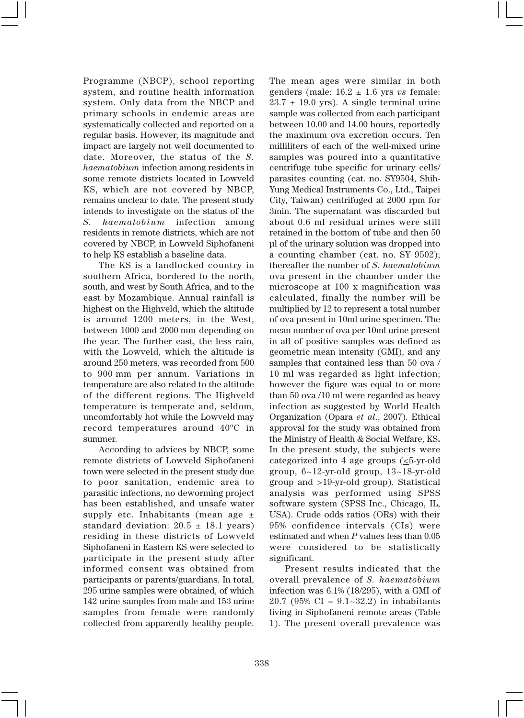Programme (NBCP), school reporting system, and routine health information system. Only data from the NBCP and primary schools in endemic areas are systematically collected and reported on a regular basis. However, its magnitude and impact are largely not well documented to date. Moreover, the status of the *S. haematobium* infection among residents in some remote districts located in Lowveld KS, which are not covered by NBCP, remains unclear to date. The present study intends to investigate on the status of the *S. haematobium* infection among residents in remote districts, which are not covered by NBCP, in Lowveld Siphofaneni to help KS establish a baseline data.

The KS is a landlocked country in southern Africa, bordered to the north, south, and west by South Africa, and to the east by Mozambique. Annual rainfall is highest on the Highveld, which the altitude is around 1200 meters, in the West, between 1000 and 2000 mm depending on the year. The further east, the less rain, with the Lowveld, which the altitude is around 250 meters, was recorded from 500 to 900 mm per annum. Variations in temperature are also related to the altitude of the different regions. The Highveld temperature is temperate and, seldom, uncomfortably hot while the Lowveld may record temperatures around 40ºC in summer.

According to advices by NBCP, some remote districts of Lowveld Siphofaneni town were selected in the present study due to poor sanitation, endemic area to parasitic infections, no deworming project has been established, and unsafe water supply etc. Inhabitants (mean age  $\pm$ standard deviation:  $20.5 \pm 18.1$  years) residing in these districts of Lowveld Siphofaneni in Eastern KS were selected to participate in the present study after informed consent was obtained from participants or parents/guardians. In total, 295 urine samples were obtained, of which 142 urine samples from male and 153 urine samples from female were randomly collected from apparently healthy people. The mean ages were similar in both genders (male: 16.2 ± 1.6 yrs *vs* female:  $23.7 \pm 19.0$  yrs). A single terminal urine sample was collected from each participant between 10.00 and 14.00 hours, reportedly the maximum ova excretion occurs. Ten milliliters of each of the well-mixed urine samples was poured into a quantitative centrifuge tube specific for urinary cells/ parasites counting (cat. no. SY9504, Shih-Yung Medical Instruments Co., Ltd., Taipei City, Taiwan) centrifuged at 2000 rpm for 3min. The supernatant was discarded but about 0.6 ml residual urines were still retained in the bottom of tube and then 50 µl of the urinary solution was dropped into a counting chamber (cat. no. SY 9502); thereafter the number of *S. haematobium* ova present in the chamber under the microscope at 100 x magnification was calculated, finally the number will be multiplied by 12 to represent a total number of ova present in 10ml urine specimen. The mean number of ova per 10ml urine present in all of positive samples was defined as geometric mean intensity (GMI), and any samples that contained less than 50 ova / 10 ml was regarded as light infection; however the figure was equal to or more than 50 ova /10 ml were regarded as heavy infection as suggested by World Health Organization (Opara *et al*., 2007). Ethical approval for the study was obtained from the Ministry of Health & Social Welfare, KS**.** In the present study, the subjects were categorized into 4 age groups  $(\leq 5$ -yr-old group, 6~12-yr-old group, 13~18-yr-old group and  $\geq$ 19-yr-old group). Statistical analysis was performed using SPSS software system (SPSS Inc., Chicago, IL, USA). Crude odds ratios (ORs) with their 95% confidence intervals (CIs) were estimated and when *P* values less than 0.05 were considered to be statistically significant.

Present results indicated that the overall prevalence of *S. haematobium* infection was 6.1% (18/295), with a GMI of 20.7 (95% CI =  $9.1 - 32.2$ ) in inhabitants living in Siphofaneni remote areas (Table 1). The present overall prevalence was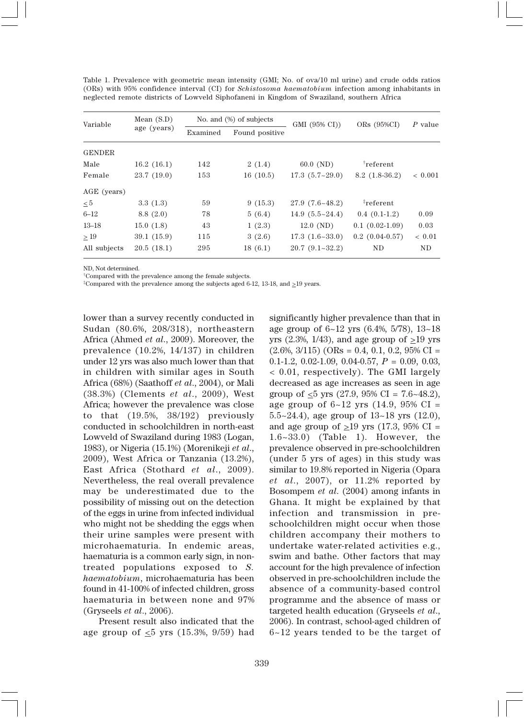| Variable      | Mean $(S.D)$<br>age (years) | No. and $(\%)$ of subjects |                | GMI (95% CI))             | ORs $(95\%CI)$     | P value        |
|---------------|-----------------------------|----------------------------|----------------|---------------------------|--------------------|----------------|
|               |                             | Examined                   | Found positive |                           |                    |                |
| <b>GENDER</b> |                             |                            |                |                           |                    |                |
| Male          | 16.2(16.1)                  | 142                        | 2(1.4)         | $60.0$ (ND)               | $\dagger$ referent |                |
| Female        | 23.7(19.0)                  | 153                        | 16(10.5)       | $17.3(5.7-29.0)$          | $8.2(1.8-36.2)$    | ${}< 0.001$    |
| AGE (years)   |                             |                            |                |                           |                    |                |
| $\leq 5$      | 3.3(1.3)                    | 59                         | 9(15.3)        | $27.9(7.6-48.2)$          | <i>i</i> referent  |                |
| $6 - 12$      | 8.8(2.0)                    | 78                         | 5(6.4)         | $14.9(5.5 \text{~} 24.4)$ | $0.4(0.1-1.2)$     | 0.09           |
| $13 - 18$     | 15.0(1.8)                   | 43                         | 1(2.3)         | $12.0 \, (ND)$            | $0.1(0.02-1.09)$   | 0.03           |
| >19           | 39.1(15.9)                  | 115                        | 3(2.6)         | $17.3(1.6-33.0)$          | $0.2(0.04-0.57)$   | ${}< 0.01$     |
| All subjects  | 20.5(18.1)                  | 295                        | 18(6.1)        | $20.7(9.1-32.2)$          | <b>ND</b>          | N <sub>D</sub> |

Table 1. Prevalence with geometric mean intensity (GMI; No. of ova/10 ml urine) and crude odds ratios (ORs) with 95% confidence interval (CI) for *Schistosoma haematobium* infection among inhabitants in neglected remote districts of Lowveld Siphofaneni in Kingdom of Swaziland, southern Africa

ND, Not determined.

†Compared with the prevalence among the female subjects.

<sup>‡</sup>Compared with the prevalence among the subjects aged 6-12, 13-18, and  $\geq$ 19 years.

lower than a survey recently conducted in Sudan (80.6%, 208/318), northeastern Africa (Ahmed *et al*., 2009). Moreover, the prevalence (10.2%, 14/137) in children under 12 yrs was also much lower than that in children with similar ages in South Africa (68%) (Saathoff *et al*., 2004), or Mali (38.3%) (Clements *et al*., 2009), West Africa; however the prevalence was close to that (19.5%, 38/192) previously conducted in schoolchildren in north-east Lowveld of Swaziland during 1983 (Logan, 1983), or Nigeria (15.1%) (Morenikeji *et al*., 2009), West Africa or Tanzania (13.2%), East Africa (Stothard *et al*., 2009). Nevertheless, the real overall prevalence may be underestimated due to the possibility of missing out on the detection of the eggs in urine from infected individual who might not be shedding the eggs when their urine samples were present with microhaematuria. In endemic areas, haematuria is a common early sign, in nontreated populations exposed to *S. haematobium*, microhaematuria has been found in 41-100% of infected children, gross haematuria in between none and 97% (Gryseels *et al*., 2006).

Present result also indicated that the age group of  $\leq 5$  yrs (15.3%, 9/59) had significantly higher prevalence than that in age group of 6~12 yrs (6.4%, 5/78), 13~18 yrs (2.3%, 1/43), and age group of  $\geq$ 19 yrs  $(2.6\%, 3/115)$  (ORs = 0.4, 0.1, 0.2, 95% CI = 0.1-1.2, 0.02-1.09, 0.04-0.57, *P* = 0.09, 0.03, < 0.01, respectively). The GMI largely decreased as age increases as seen in age group of  $\leq 5$  yrs (27.9, 95% CI = 7.6~48.2), age group of 6~12 yrs (14.9, 95% CI = 5.5~24.4), age group of 13~18 yrs (12.0), and age group of  $\geq$ 19 yrs (17.3, 95% CI = 1.6~33.0) (Table 1). However, the prevalence observed in pre-schoolchildren (under 5 yrs of ages) in this study was similar to 19.8% reported in Nigeria (Opara *et al*., 2007), or 11.2% reported by Bosompem *et al*. (2004) among infants in Ghana. It might be explained by that infection and transmission in preschoolchildren might occur when those children accompany their mothers to undertake water-related activities e.g., swim and bathe. Other factors that may account for the high prevalence of infection observed in pre-schoolchildren include the absence of a community-based control programme and the absence of mass or targeted health education (Gryseels *et al*., 2006). In contrast, school-aged children of 6~12 years tended to be the target of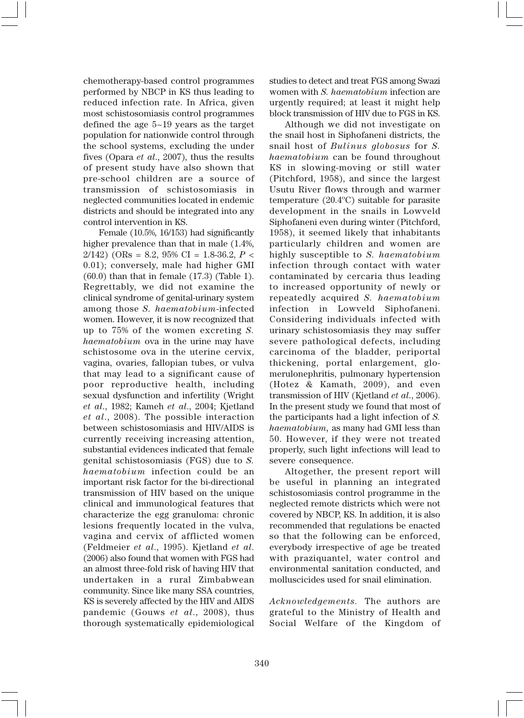chemotherapy-based control programmes performed by NBCP in KS thus leading to reduced infection rate. In Africa, given most schistosomiasis control programmes defined the age 5~19 years as the target population for nationwide control through the school systems, excluding the under fives (Opara *et al*., 2007), thus the results of present study have also shown that pre-school children are a source of transmission of schistosomiasis in neglected communities located in endemic districts and should be integrated into any control intervention in KS.

Female (10.5%, 16/153) had significantly higher prevalence than that in male  $(1.4\%$ , 2/142) (ORs = 8.2, 95% CI = 1.8-36.2, *P* < 0.01); conversely, male had higher GMI (60.0) than that in female (17.3) (Table 1). Regrettably, we did not examine the clinical syndrome of genital-urinary system among those *S. haematobium*-infected women. However, it is now recognized that up to 75% of the women excreting *S. haematobium* ova in the urine may have schistosome ova in the uterine cervix, vagina, ovaries, fallopian tubes, or vulva that may lead to a significant cause of poor reproductive health, including sexual dysfunction and infertility (Wright *et al*., 1982; Kameh *et al*., 2004; Kjetland *et al*., 2008). The possible interaction between schistosomiasis and HIV/AIDS is currently receiving increasing attention, substantial evidences indicated that female genital schistosomiasis (FGS) due to *S. haematobium* infection could be an important risk factor for the bi-directional transmission of HIV based on the unique clinical and immunological features that characterize the egg granuloma: chronic lesions frequently located in the vulva, vagina and cervix of afflicted women (Feldmeier *et al*., 1995). Kjetland *et al*. (2006) also found that women with FGS had an almost three-fold risk of having HIV that undertaken in a rural Zimbabwean community. Since like many SSA countries, KS is severely affected by the HIV and AIDS pandemic (Gouws *et al*., 2008), thus thorough systematically epidemiological studies to detect and treat FGS among Swazi women with *S. haematobium* infection are urgently required; at least it might help block transmission of HIV due to FGS in KS.

Although we did not investigate on the snail host in Siphofaneni districts, the snail host of *Bulinus globosus* for *S. haematobium* can be found throughout KS in slowing-moving or still water (Pitchford, 1958), and since the largest Usutu River flows through and warmer temperature (20.4ºC) suitable for parasite development in the snails in Lowveld Siphofaneni even during winter (Pitchford, 1958), it seemed likely that inhabitants particularly children and women are highly susceptible to *S. haematobium* infection through contact with water contaminated by cercaria thus leading to increased opportunity of newly or repeatedly acquired *S. haematobium* infection in Lowveld Siphofaneni. Considering individuals infected with urinary schistosomiasis they may suffer severe pathological defects, including carcinoma of the bladder, periportal thickening, portal enlargement, glomerulonephritis, pulmonary hypertension (Hotez & Kamath, 2009), and even transmission of HIV (Kjetland *et al*., 2006). In the present study we found that most of the participants had a light infection of *S. haematobium,* as many had GMI less than 50. However, if they were not treated properly, such light infections will lead to severe consequence.

Altogether, the present report will be useful in planning an integrated schistosomiasis control programme in the neglected remote districts which were not covered by NBCP, KS. In addition, it is also recommended that regulations be enacted so that the following can be enforced, everybody irrespective of age be treated with praziquantel, water control and environmental sanitation conducted, and molluscicides used for snail elimination.

*Acknowledgements.* The authors are grateful to the Ministry of Health and Social Welfare of the Kingdom of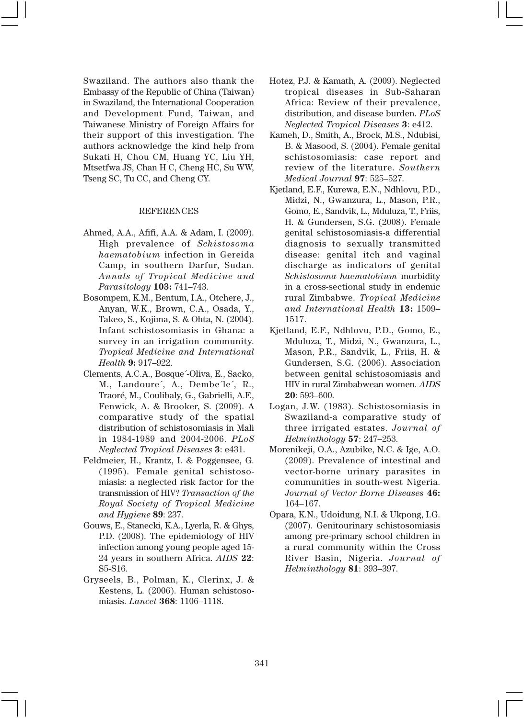Swaziland. The authors also thank the Embassy of the Republic of China (Taiwan) in Swaziland, the International Cooperation and Development Fund, Taiwan, and Taiwanese Ministry of Foreign Affairs for their support of this investigation. The authors acknowledge the kind help from Sukati H, Chou CM, Huang YC, Liu YH, Mtsetfwa JS, Chan H C, Cheng HC, Su WW, Tseng SC, Tu CC, and Cheng CY.

## REFERENCES

- Ahmed, A.A., Afifi, A.A. & Adam, I. (2009). High prevalence of *Schistosoma haematobium* infection in Gereida Camp, in southern Darfur, Sudan. *Annals of Tropical Medicine and Parasitology* **103:** 741–743.
- Bosompem, K.M., Bentum, I.A., Otchere, J., Anyan, W.K., Brown, C.A., Osada, Y., Takeo, S., Kojima, S. & Ohta, N. (2004). Infant schistosomiasis in Ghana: a survey in an irrigation community. *Tropical Medicine and International Health* **9:** 917–922.
- Clements, A.C.A., Bosque´-Oliva, E., Sacko, M., Landoure´, A., Dembe´le´, R., Traoré, M., Coulibaly, G., Gabrielli, A.F., Fenwick, A. & Brooker, S. (2009). A comparative study of the spatial distribution of schistosomiasis in Mali in 1984-1989 and 2004-2006. *PLoS Neglected Tropical Diseases* **3**: e431.
- Feldmeier, H., Krantz, I. & Poggensee, G. (1995). Female genital schistosomiasis: a neglected risk factor for the transmission of HIV? *Transaction of the Royal Society of Tropical Medicine and Hygiene* **89**: 237.
- Gouws, E., Stanecki, K.A., Lyerla, R. & Ghys, P.D. (2008). The epidemiology of HIV infection among young people aged 15- 24 years in southern Africa. *AIDS* **22**: S5-S16.
- Gryseels, B., Polman, K., Clerinx, J. & Kestens, L. (2006). Human schistosomiasis. *Lancet* **368**: 1106–1118.
- Hotez, P.J. & Kamath, A. (2009). Neglected tropical diseases in Sub-Saharan Africa: Review of their prevalence, distribution, and disease burden. *PLoS Neglected Tropical Diseases* **3**: e412.
- Kameh, D., Smith, A., Brock, M.S., Ndubisi, B. & Masood, S. (2004). Female genital schistosomiasis: case report and review of the literature. *Southern Medical Journal* **97**: 525–527.
- Kjetland, E.F., Kurewa, E.N., Ndhlovu, P.D., Midzi, N., Gwanzura, L., Mason, P.R., Gomo, E., Sandvik, L., Mduluza, T., Friis, H. & Gundersen, S.G. (2008). Female genital schistosomiasis-a differential diagnosis to sexually transmitted disease: genital itch and vaginal discharge as indicators of genital *Schistosoma haematobium* morbidity in a cross-sectional study in endemic rural Zimbabwe. *Tropical Medicine and International Health* **13:** 1509– 1517.
- Kjetland, E.F., Ndhlovu, P.D., Gomo, E., Mduluza, T., Midzi, N., Gwanzura, L., Mason, P.R., Sandvik, L., Friis, H. & Gundersen, S.G. (2006). Association between genital schistosomiasis and HIV in rural Zimbabwean women. *AIDS* **20**: 593–600.
- Logan, J.W. (1983). Schistosomiasis in Swaziland-a comparative study of three irrigated estates. *Journal of Helminthology* **57**: 247–253.
- Morenikeji, O.A., Azubike, N.C. & Ige, A.O. (2009). Prevalence of intestinal and vector-borne urinary parasites in communities in south-west Nigeria. *Journal of Vector Borne Diseases* **46:** 164–167.
- Opara, K.N., Udoidung, N.I. & Ukpong, I.G. (2007). Genitourinary schistosomiasis among pre-primary school children in a rural community within the Cross River Basin, Nigeria. *Journal of Helminthology* **81**: 393–397.